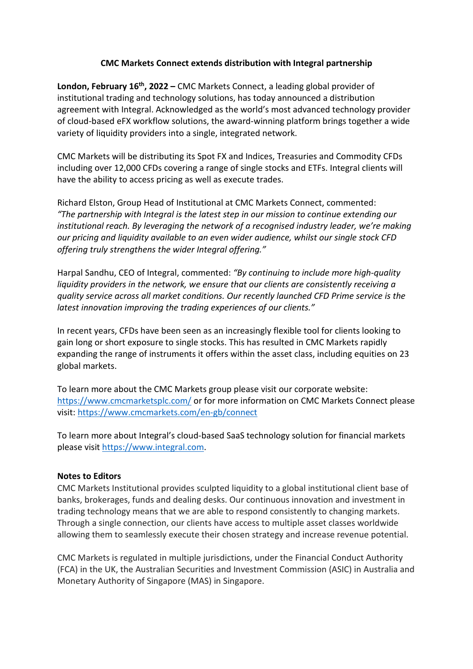## **CMC Markets Connect extends distribution with Integral partnership**

**London, February 16th, 2022 –** CMC Markets Connect, a leading global provider of institutional trading and technology solutions, has today announced a distribution agreement with Integral. Acknowledged as the world's most advanced technology provider of cloud-based eFX workflow solutions, the award-winning platform brings together a wide variety of liquidity providers into a single, integrated network.

CMC Markets will be distributing its Spot FX and Indices, Treasuries and Commodity CFDs including over 12,000 CFDs covering a range of single stocks and ETFs. Integral clients will have the ability to access pricing as well as execute trades.

Richard Elston, Group Head of Institutional at CMC Markets Connect, commented: *"The partnership with Integral is the latest step in our mission to continue extending our institutional reach. By leveraging the network of a recognised industry leader, we're making our pricing and liquidity available to an even wider audience, whilst our single stock CFD offering truly strengthens the wider Integral offering."*

Harpal Sandhu, CEO of Integral, commented: *"By continuing to include more high-quality liquidity providers in the network, we ensure that our clients are consistently receiving a quality service across all market conditions. Our recently launched CFD Prime service is the latest innovation improving the trading experiences of our clients."*

In recent years, CFDs have been seen as an increasingly flexible tool for clients looking to gain long or short exposure to single stocks. This has resulted in CMC Markets rapidly expanding the range of instruments it offers within the asset class, including equities on 23 global markets.

To learn more about the CMC Markets group please visit our corporate website: <https://www.cmcmarketsplc.com/> or for more information on CMC Markets Connect please visit:<https://www.cmcmarkets.com/en-gb/connect>

To learn more about Integral's cloud-based SaaS technology solution for financial markets please visit [https://www.integral.com.](https://www.integral.com/)

## **Notes to Editors**

CMC Markets Institutional provides sculpted liquidity to a global institutional client base of banks, brokerages, funds and dealing desks. Our continuous innovation and investment in trading technology means that we are able to respond consistently to changing markets. Through a single connection, our clients have access to multiple asset classes worldwide allowing them to seamlessly execute their chosen strategy and increase revenue potential.

CMC Markets is regulated in multiple jurisdictions, under the Financial Conduct Authority (FCA) in the UK, the Australian Securities and Investment Commission (ASIC) in Australia and Monetary Authority of Singapore (MAS) in Singapore.